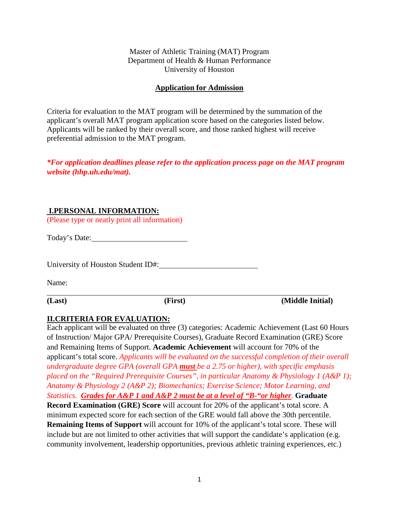Master of Athletic Training (MAT) Program Department of Health & Human Performance University of Houston

#### **Application for Admission**

Criteria for evaluation to the MAT program will be determined by the summation of the applicant's overall MAT program application score based on the categories listed below. Applicants will be ranked by their overall score, and those ranked highest will receive preferential admission to the MAT program.

*\*For application deadlines please refer to the application process page on the MAT program website (hhp.uh.edu/mat).*

### **I.PERSONAL INFORMATION:**

(Please type or neatly print all information)

Today's Date:

University of Houston Student ID#:

Name:

**(Last) (First) (Middle Initial)** 

### **II.CRITERIA FOR EVALUATION:**

Each applicant will be evaluated on three (3) categories: Academic Achievement (Last 60 Hours of Instruction/ Major GPA/ Prerequisite Courses), Graduate Record Examination (GRE) Score and Remaining Items of Support. **Academic Achievement** will account for 70% of the applicant's total score. *Applicants will be evaluated on the successful completion of their overall undergraduate degree GPA (overall GPA must be a 2.75 or higher), with specific emphasis placed on the "Required Prerequisite Courses", in particular Anatomy & Physiology 1 (A&P 1); Anatomy & Physiology 2 (A&P 2); Biomechanics; Exercise Science; Motor Learning, and Statistics. Grades for A&P 1 and A&P 2 must be at a level of "B-"or higher.* **Graduate Record Examination (GRE) Score** will account for 20% of the applicant's total score. A minimum expected score for each section of the GRE would fall above the 30th percentile. **Remaining Items of Support** will account for 10% of the applicant's total score. These will include but are not limited to other activities that will support the candidate's application (e.g. community involvement, leadership opportunities, previous athletic training experiences, etc.)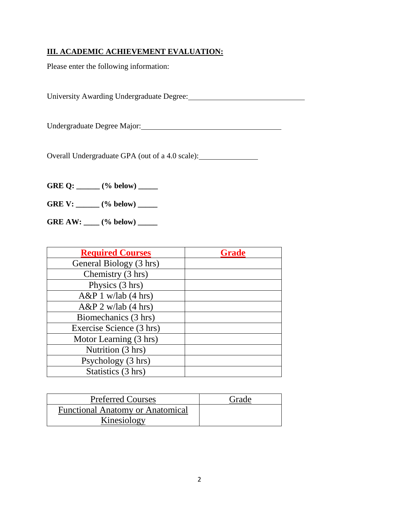# **III. ACADEMIC ACHIEVEMENT EVALUATION:**

Please enter the following information:

University Awarding Undergraduate Degree:

Undergraduate Degree Major: Major: Major: Major: Major: Major: Major: Major: Major: Major: Major: Major: Major: Major: Major: Major: Major: Major: Major: Major: Major: Major: Major: Major: Major: Major: Major: Major: Major

Overall Undergraduate GPA (out of a 4.0 scale):

GRE Q: \_\_\_\_\_ (% below) \_\_\_\_\_

**GRE V: \_\_\_\_\_\_ (% below) \_\_\_\_\_** 

**GRE AW: \_\_\_\_ (% below) \_\_\_\_\_**

| <b>Required Courses</b>  | <b>Grade</b> |
|--------------------------|--------------|
| General Biology (3 hrs)  |              |
| Chemistry (3 hrs)        |              |
| Physics (3 hrs)          |              |
| $A\&P1$ w/lab (4 hrs)    |              |
| $A\&P 2$ w/lab (4 hrs)   |              |
| Biomechanics (3 hrs)     |              |
| Exercise Science (3 hrs) |              |
| Motor Learning (3 hrs)   |              |
| Nutrition (3 hrs)        |              |
| Psychology (3 hrs)       |              |
| Statistics (3 hrs)       |              |

| <b>Preferred Courses</b>                | Grade |
|-----------------------------------------|-------|
| <b>Functional Anatomy or Anatomical</b> |       |
| Kinesiology                             |       |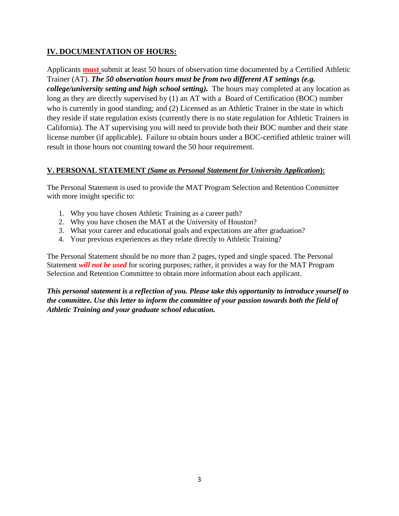### **IV. DOCUMENTATION OF HOURS:**

Applicants **must** submit at least 50 hours of observation time documented by a Certified Athletic Trainer (AT). *The 50 observation hours must be from two different AT settings (e.g. college/university setting and high school setting).* The hours may completed at any location as long as they are directly supervised by (1) an AT with a Board of Certification (BOC) number who is currently in good standing; and (2) Licensed as an Athletic Trainer in the state in which they reside if state regulation exists (currently there is no state regulation for Athletic Trainers in California). The AT supervising you will need to provide both their BOC number and their state license number (if applicable). Failure to obtain hours under a BOC-certified athletic trainer will result in those hours not counting toward the 50 hour requirement.

### **V. PERSONAL STATEMENT** *(Same as Personal Statement for University Application***):**

The Personal Statement is used to provide the MAT Program Selection and Retention Committee with more insight specific to:

- 1. Why you have chosen Athletic Training as a career path?
- 2. Why you have chosen the MAT at the University of Houston?
- 3. What your career and educational goals and expectations are after graduation?
- 4. Your previous experiences as they relate directly to Athletic Training?

The Personal Statement should be no more than 2 pages, typed and single spaced. The Personal Statement *will not be used* for scoring purposes; rather, it provides a way for the MAT Program Selection and Retention Committee to obtain more information about each applicant.

*This personal statement is a reflection of you. Please take this opportunity to introduce yourself to the committee. Use this letter to inform the committee of your passion towards both the field of Athletic Training and your graduate school education.*